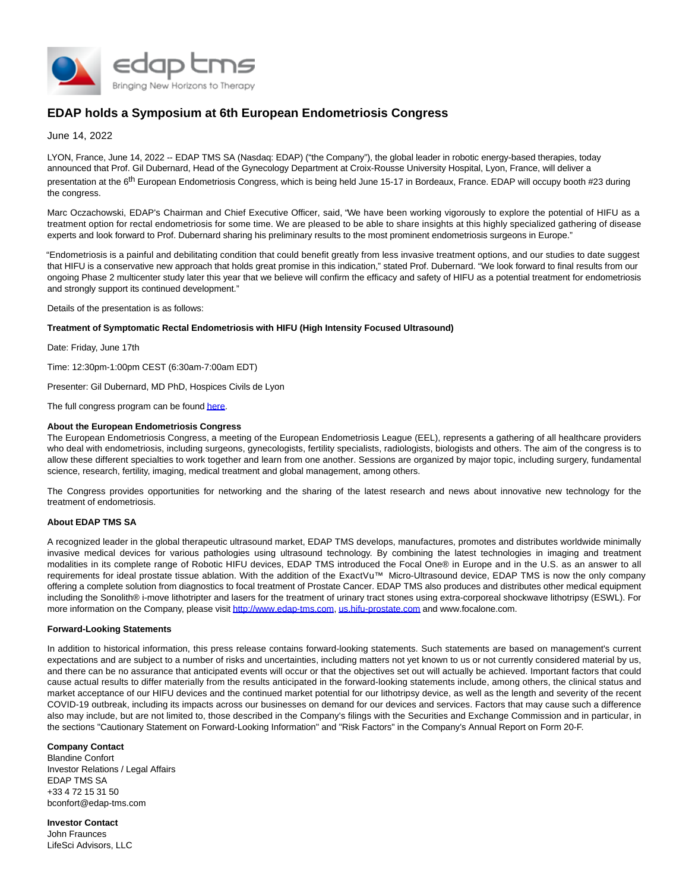

# **EDAP holds a Symposium at 6th European Endometriosis Congress**

June 14, 2022

LYON, France, June 14, 2022 -- EDAP TMS SA (Nasdaq: EDAP) ("the Company"), the global leader in robotic energy-based therapies, today announced that Prof. Gil Dubernard, Head of the Gynecology Department at Croix-Rousse University Hospital, Lyon, France, will deliver a presentation at the 6<sup>th</sup> European Endometriosis Congress, which is being held June 15-17 in Bordeaux, France. EDAP will occupy booth #23 during the congress.

Marc Oczachowski, EDAP's Chairman and Chief Executive Officer, said, "We have been working vigorously to explore the potential of HIFU as a treatment option for rectal endometriosis for some time. We are pleased to be able to share insights at this highly specialized gathering of disease experts and look forward to Prof. Dubernard sharing his preliminary results to the most prominent endometriosis surgeons in Europe."

"Endometriosis is a painful and debilitating condition that could benefit greatly from less invasive treatment options, and our studies to date suggest that HIFU is a conservative new approach that holds great promise in this indication," stated Prof. Dubernard. "We look forward to final results from our ongoing Phase 2 multicenter study later this year that we believe will confirm the efficacy and safety of HIFU as a potential treatment for endometriosis and strongly support its continued development."

Details of the presentation is as follows:

# **Treatment of Symptomatic Rectal Endometriosis with HIFU (High Intensity Focused Ultrasound)**

Date: Friday, June 17th

Time: 12:30pm-1:00pm CEST (6:30am-7:00am EDT)

Presenter: Gil Dubernard, MD PhD, Hospices Civils de Lyon

The full congress program can be foun[d here.](https://www.globenewswire.com/Tracker?data=tKDLUxFnw-WdnDP1P_2cOIJ5TxoWW7abQ0_8tbUhU3pGnNrQZqllKuXxVYU779YkcxtczUXBDcrtBXmFlf2Alft7rylpPj76DehuopxDOabISZMIEotBA04jogBijTts)

## **About the European Endometriosis Congress**

The European Endometriosis Congress, a meeting of the European Endometriosis League (EEL), represents a gathering of all healthcare providers who deal with endometriosis, including surgeons, gynecologists, fertility specialists, radiologists, biologists and others. The aim of the congress is to allow these different specialties to work together and learn from one another. Sessions are organized by major topic, including surgery, fundamental science, research, fertility, imaging, medical treatment and global management, among others.

The Congress provides opportunities for networking and the sharing of the latest research and news about innovative new technology for the treatment of endometriosis.

#### **About EDAP TMS SA**

A recognized leader in the global therapeutic ultrasound market, EDAP TMS develops, manufactures, promotes and distributes worldwide minimally invasive medical devices for various pathologies using ultrasound technology. By combining the latest technologies in imaging and treatment modalities in its complete range of Robotic HIFU devices, EDAP TMS introduced the Focal One® in Europe and in the U.S. as an answer to all requirements for ideal prostate tissue ablation. With the addition of the ExactVu™ Micro-Ultrasound device, EDAP TMS is now the only company offering a complete solution from diagnostics to focal treatment of Prostate Cancer. EDAP TMS also produces and distributes other medical equipment including the Sonolith® i-move lithotripter and lasers for the treatment of urinary tract stones using extra-corporeal shockwave lithotripsy (ESWL). For more information on the Company, please visi[t http://www.edap-tms.com,](https://www.globenewswire.com/Tracker?data=nnwqrhRKhw12kdZOwb1KrUbHRJBuGGyc0eAC6Fp9bAD6xao4iDb4UK5wuxIeYBgnUwt7753F1IkB1L7SInbIq-xDDcWiaqNoei0ZvwlUDaN_Bu5xrs-y_JR_NNpYiOAuqtnL3yiLuiop7Wz8PyTuanRmM1peGGtWnuAXK1xZaT7e_5lLOVMM0vbTp34ru1Vhv6Gi5sN3HqXkjDaQf-wGIwotO04ccku8VxuQTb7MlxLzC-ZehStygmcps3WIxEwzb0zfmH18qVGreRbj_IlX8g==) [us.hifu-prostate.com a](https://www.globenewswire.com/Tracker?data=ljNUMQ-jCsVgYaXEAkshuARUx2gJD9hPOg4cgiii1rnao1dRCxkPMUCFLBP2RJxnRA8a6XPSbOI4RuIRjS4m9H0s_gz2lXSHitGL--sJf1kdLU1SZi3gWEa6sU6S9Gc3cMpYG9o-e2C1bsrL6cXhKO84b5zRn4pG7TY_n2iMR7pTA2MK1bLql3u-26VvFEgv-L0HtbUWBtE0_wkFnoGl_q4mv2OAoHDbnH7Dsyk2q6bi-L0Ih964sjCwItOGj7xtzT9-654l2d_eX9xOtWneLQ==)nd www.focalone.com.

## **Forward-Looking Statements**

In addition to historical information, this press release contains forward-looking statements. Such statements are based on management's current expectations and are subject to a number of risks and uncertainties, including matters not yet known to us or not currently considered material by us, and there can be no assurance that anticipated events will occur or that the objectives set out will actually be achieved. Important factors that could cause actual results to differ materially from the results anticipated in the forward-looking statements include, among others, the clinical status and market acceptance of our HIFU devices and the continued market potential for our lithotripsy device, as well as the length and severity of the recent COVID-19 outbreak, including its impacts across our businesses on demand for our devices and services. Factors that may cause such a difference also may include, but are not limited to, those described in the Company's filings with the Securities and Exchange Commission and in particular, in the sections "Cautionary Statement on Forward-Looking Information" and "Risk Factors" in the Company's Annual Report on Form 20-F.

# **Company Contact**

Blandine Confort Investor Relations / Legal Affairs EDAP TMS SA +33 4 72 15 31 50 bconfort@edap-tms.com

**Investor Contact** John Fraunces LifeSci Advisors, LLC